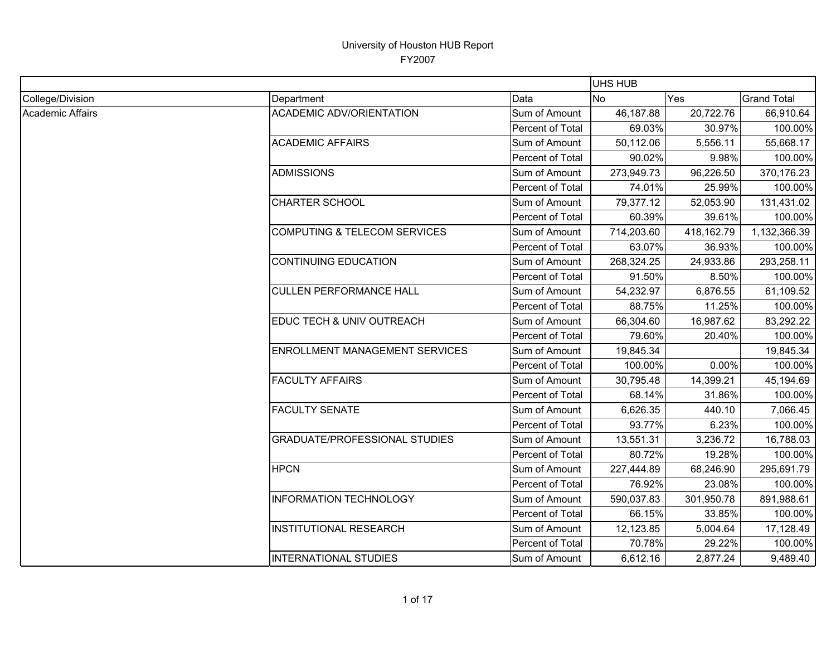|                         |                                         |                  | UHS HUB    |            |                    |
|-------------------------|-----------------------------------------|------------------|------------|------------|--------------------|
| College/Division        | Department                              | Data             | <b>No</b>  | Yes        | <b>Grand Total</b> |
| <b>Academic Affairs</b> | <b>ACADEMIC ADV/ORIENTATION</b>         | Sum of Amount    | 46,187.88  | 20,722.76  | 66,910.64          |
|                         |                                         | Percent of Total | 69.03%     | 30.97%     | 100.00%            |
|                         | <b>ACADEMIC AFFAIRS</b>                 | Sum of Amount    | 50,112.06  | 5,556.11   | 55,668.17          |
|                         |                                         | Percent of Total | 90.02%     | 9.98%      | 100.00%            |
|                         | <b>ADMISSIONS</b>                       | Sum of Amount    | 273,949.73 | 96,226.50  | 370,176.23         |
|                         |                                         | Percent of Total | 74.01%     | 25.99%     | 100.00%            |
|                         | <b>CHARTER SCHOOL</b>                   | Sum of Amount    | 79,377.12  | 52,053.90  | 131,431.02         |
|                         |                                         | Percent of Total | 60.39%     | 39.61%     | 100.00%            |
|                         | <b>COMPUTING &amp; TELECOM SERVICES</b> | Sum of Amount    | 714,203.60 | 418,162.79 | 1,132,366.39       |
|                         |                                         | Percent of Total | 63.07%     | 36.93%     | 100.00%            |
|                         | <b>CONTINUING EDUCATION</b>             | Sum of Amount    | 268,324.25 | 24,933.86  | 293,258.11         |
|                         |                                         | Percent of Total | 91.50%     | 8.50%      | 100.00%            |
|                         | <b>CULLEN PERFORMANCE HALL</b>          | Sum of Amount    | 54,232.97  | 6,876.55   | 61,109.52          |
|                         |                                         | Percent of Total | 88.75%     | 11.25%     | 100.00%            |
|                         | EDUC TECH & UNIV OUTREACH               | Sum of Amount    | 66,304.60  | 16,987.62  | 83,292.22          |
|                         |                                         | Percent of Total | 79.60%     | 20.40%     | 100.00%            |
|                         | <b>ENROLLMENT MANAGEMENT SERVICES</b>   | Sum of Amount    | 19,845.34  |            | 19,845.34          |
|                         |                                         | Percent of Total | 100.00%    | 0.00%      | 100.00%            |
|                         | <b>FACULTY AFFAIRS</b>                  | Sum of Amount    | 30,795.48  | 14,399.21  | 45,194.69          |
|                         |                                         | Percent of Total | 68.14%     | 31.86%     | 100.00%            |
|                         | <b>FACULTY SENATE</b>                   | Sum of Amount    | 6,626.35   | 440.10     | 7,066.45           |
|                         |                                         | Percent of Total | 93.77%     | 6.23%      | 100.00%            |
|                         | <b>GRADUATE/PROFESSIONAL STUDIES</b>    | Sum of Amount    | 13,551.31  | 3,236.72   | 16,788.03          |
|                         |                                         | Percent of Total | 80.72%     | 19.28%     | 100.00%            |
|                         | <b>HPCN</b>                             | Sum of Amount    | 227,444.89 | 68,246.90  | 295,691.79         |
|                         |                                         | Percent of Total | 76.92%     | 23.08%     | 100.00%            |
|                         | <b>INFORMATION TECHNOLOGY</b>           | Sum of Amount    | 590,037.83 | 301,950.78 | 891,988.61         |
|                         |                                         | Percent of Total | 66.15%     | 33.85%     | 100.00%            |
|                         | <b>INSTITUTIONAL RESEARCH</b>           | Sum of Amount    | 12,123.85  | 5,004.64   | 17,128.49          |
|                         |                                         | Percent of Total | 70.78%     | 29.22%     | 100.00%            |
|                         | <b>INTERNATIONAL STUDIES</b>            | Sum of Amount    | 6,612.16   | 2,877.24   | 9,489.40           |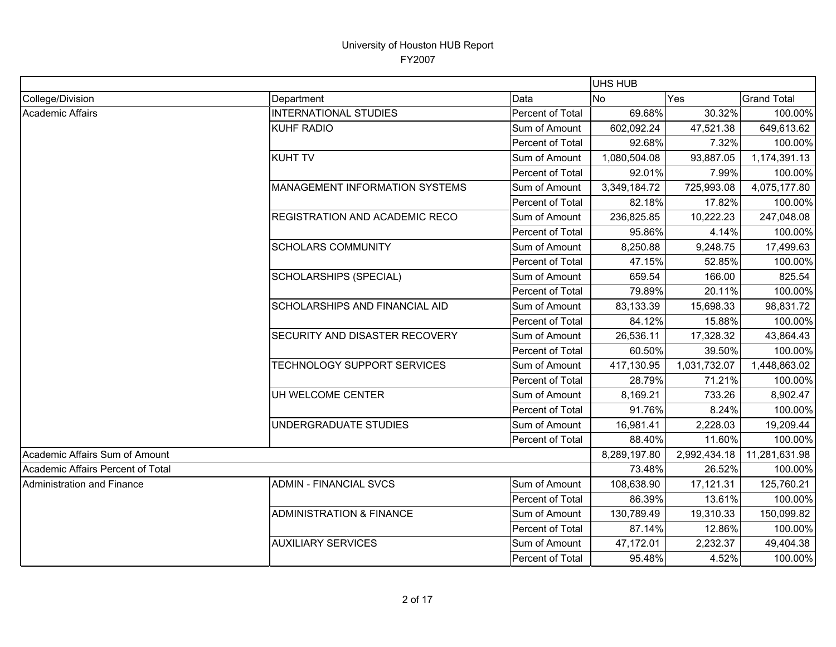|                                   |                                     |                  | <b>UHS HUB</b> |              |                    |
|-----------------------------------|-------------------------------------|------------------|----------------|--------------|--------------------|
| College/Division                  | Department                          | Data             | <b>No</b>      | Yes          | <b>Grand Total</b> |
| Academic Affairs                  | <b>INTERNATIONAL STUDIES</b>        | Percent of Total | 69.68%         | 30.32%       | 100.00%            |
|                                   | <b>KUHF RADIO</b>                   | Sum of Amount    | 602,092.24     | 47,521.38    | 649,613.62         |
|                                   |                                     | Percent of Total | 92.68%         | 7.32%        | 100.00%            |
|                                   | <b>KUHT TV</b>                      | Sum of Amount    | 1,080,504.08   | 93,887.05    | 1,174,391.13       |
|                                   |                                     | Percent of Total | 92.01%         | 7.99%        | 100.00%            |
|                                   | MANAGEMENT INFORMATION SYSTEMS      | Sum of Amount    | 3,349,184.72   | 725,993.08   | 4,075,177.80       |
|                                   |                                     | Percent of Total | 82.18%         | 17.82%       | 100.00%            |
|                                   | REGISTRATION AND ACADEMIC RECO      | Sum of Amount    | 236,825.85     | 10,222.23    | 247,048.08         |
|                                   |                                     | Percent of Total | 95.86%         | 4.14%        | 100.00%            |
|                                   | <b>SCHOLARS COMMUNITY</b>           | Sum of Amount    | 8,250.88       | 9,248.75     | 17,499.63          |
|                                   |                                     | Percent of Total | 47.15%         | 52.85%       | 100.00%            |
|                                   | <b>SCHOLARSHIPS (SPECIAL)</b>       | Sum of Amount    | 659.54         | 166.00       | 825.54             |
|                                   |                                     | Percent of Total | 79.89%         | 20.11%       | 100.00%            |
|                                   | SCHOLARSHIPS AND FINANCIAL AID      | Sum of Amount    | 83,133.39      | 15,698.33    | 98,831.72          |
|                                   |                                     | Percent of Total | 84.12%         | 15.88%       | 100.00%            |
|                                   | SECURITY AND DISASTER RECOVERY      | Sum of Amount    | 26,536.11      | 17,328.32    | 43,864.43          |
|                                   |                                     | Percent of Total | 60.50%         | 39.50%       | 100.00%            |
|                                   | TECHNOLOGY SUPPORT SERVICES         | Sum of Amount    | 417,130.95     | 1,031,732.07 | 1,448,863.02       |
|                                   |                                     | Percent of Total | 28.79%         | 71.21%       | 100.00%            |
|                                   | UH WELCOME CENTER                   | Sum of Amount    | 8,169.21       | 733.26       | 8,902.47           |
|                                   |                                     | Percent of Total | 91.76%         | 8.24%        | 100.00%            |
|                                   | UNDERGRADUATE STUDIES               | Sum of Amount    | 16,981.41      | 2,228.03     | 19,209.44          |
|                                   |                                     | Percent of Total | 88.40%         | 11.60%       | 100.00%            |
| Academic Affairs Sum of Amount    |                                     |                  | 8,289,197.80   | 2,992,434.18 | 11,281,631.98      |
| Academic Affairs Percent of Total |                                     |                  | 73.48%         | 26.52%       | 100.00%            |
| Administration and Finance        | <b>ADMIN - FINANCIAL SVCS</b>       | Sum of Amount    | 108,638.90     | 17,121.31    | 125,760.21         |
|                                   |                                     | Percent of Total | 86.39%         | 13.61%       | 100.00%            |
|                                   | <b>ADMINISTRATION &amp; FINANCE</b> | Sum of Amount    | 130,789.49     | 19,310.33    | 150,099.82         |
|                                   |                                     | Percent of Total | 87.14%         | 12.86%       | 100.00%            |
|                                   | <b>AUXILIARY SERVICES</b>           | Sum of Amount    | 47,172.01      | 2,232.37     | 49,404.38          |
|                                   |                                     | Percent of Total | 95.48%         | 4.52%        | 100.00%            |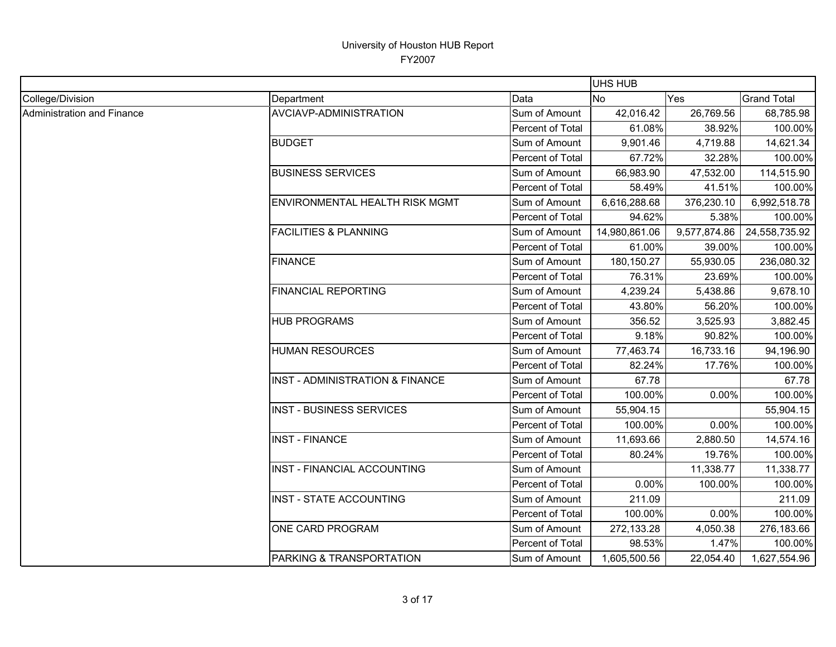| Y200<br>7 |
|-----------|
|-----------|

|                            |                                            |                         | <b>UHS HUB</b> |              |                    |
|----------------------------|--------------------------------------------|-------------------------|----------------|--------------|--------------------|
| College/Division           | Department                                 | Data                    | <b>No</b>      | Yes          | <b>Grand Total</b> |
| Administration and Finance | AVCIAVP-ADMINISTRATION                     | Sum of Amount           | 42,016.42      | 26,769.56    | 68,785.98          |
|                            |                                            | <b>Percent of Total</b> | 61.08%         | 38.92%       | 100.00%            |
|                            | <b>BUDGET</b>                              | Sum of Amount           | 9,901.46       | 4,719.88     | 14,621.34          |
|                            |                                            | Percent of Total        | 67.72%         | 32.28%       | 100.00%            |
|                            | <b>BUSINESS SERVICES</b>                   | Sum of Amount           | 66,983.90      | 47,532.00    | 114,515.90         |
|                            |                                            | Percent of Total        | 58.49%         | 41.51%       | 100.00%            |
|                            | ENVIRONMENTAL HEALTH RISK MGMT             | Sum of Amount           | 6,616,288.68   | 376,230.10   | 6,992,518.78       |
|                            |                                            | Percent of Total        | 94.62%         | 5.38%        | 100.00%            |
|                            | <b>FACILITIES &amp; PLANNING</b>           | Sum of Amount           | 14,980,861.06  | 9,577,874.86 | 24,558,735.92      |
|                            |                                            | Percent of Total        | 61.00%         | 39.00%       | 100.00%            |
|                            | <b>FINANCE</b>                             | Sum of Amount           | 180,150.27     | 55,930.05    | 236,080.32         |
|                            |                                            | Percent of Total        | 76.31%         | 23.69%       | 100.00%            |
|                            | <b>FINANCIAL REPORTING</b>                 | Sum of Amount           | 4,239.24       | 5,438.86     | 9,678.10           |
|                            |                                            | Percent of Total        | 43.80%         | 56.20%       | 100.00%            |
|                            | <b>HUB PROGRAMS</b>                        | Sum of Amount           | 356.52         | 3,525.93     | 3,882.45           |
|                            |                                            | Percent of Total        | 9.18%          | 90.82%       | 100.00%            |
|                            | <b>HUMAN RESOURCES</b>                     | Sum of Amount           | 77,463.74      | 16,733.16    | 94,196.90          |
|                            |                                            | Percent of Total        | 82.24%         | 17.76%       | 100.00%            |
|                            | <b>INST - ADMINISTRATION &amp; FINANCE</b> | Sum of Amount           | 67.78          |              | 67.78              |
|                            |                                            | Percent of Total        | 100.00%        | 0.00%        | 100.00%            |
|                            | <b>INST - BUSINESS SERVICES</b>            | Sum of Amount           | 55,904.15      |              | 55,904.15          |
|                            |                                            | Percent of Total        | 100.00%        | 0.00%        | 100.00%            |
|                            | <b>INST - FINANCE</b>                      | Sum of Amount           | 11,693.66      | 2,880.50     | 14,574.16          |
|                            |                                            | Percent of Total        | 80.24%         | 19.76%       | 100.00%            |
|                            | <b>INST - FINANCIAL ACCOUNTING</b>         | Sum of Amount           |                | 11,338.77    | 11,338.77          |
|                            |                                            | Percent of Total        | 0.00%          | 100.00%      | 100.00%            |
|                            | <b>INST - STATE ACCOUNTING</b>             | Sum of Amount           | 211.09         |              | 211.09             |
|                            |                                            | Percent of Total        | 100.00%        | 0.00%        | 100.00%            |
|                            | ONE CARD PROGRAM                           | Sum of Amount           | 272,133.28     | 4,050.38     | 276,183.66         |
|                            |                                            | Percent of Total        | 98.53%         | 1.47%        | 100.00%            |
|                            | PARKING & TRANSPORTATION                   | Sum of Amount           | 1,605,500.56   | 22,054.40    | 1,627,554.96       |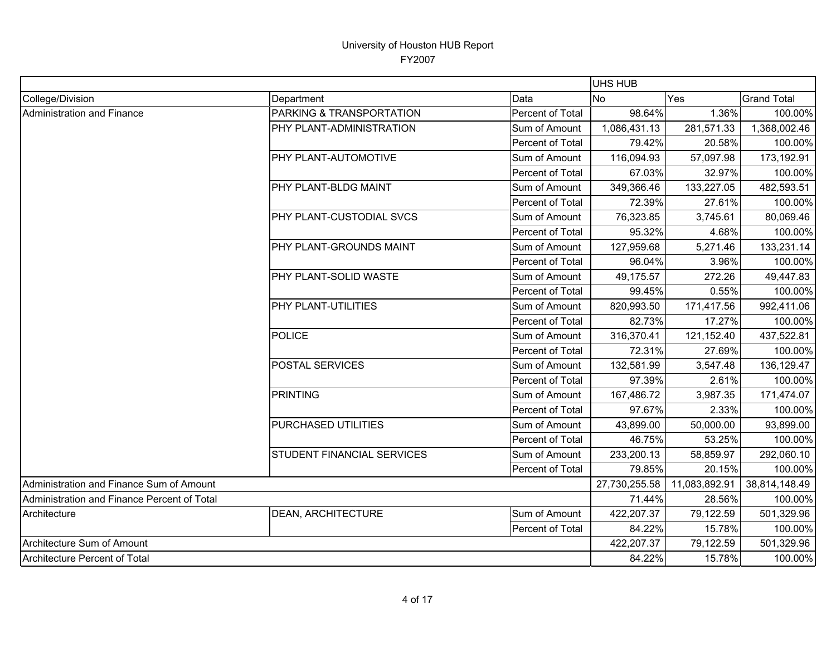|                                             |                            |                         | <b>UHS HUB</b> |               |                    |
|---------------------------------------------|----------------------------|-------------------------|----------------|---------------|--------------------|
| College/Division                            | Department                 | Data                    | <b>No</b>      | Yes           | <b>Grand Total</b> |
| Administration and Finance                  | PARKING & TRANSPORTATION   | Percent of Total        | 98.64%         | 1.36%         | 100.00%            |
|                                             | PHY PLANT-ADMINISTRATION   | Sum of Amount           | 1,086,431.13   | 281,571.33    | 1,368,002.46       |
|                                             |                            | Percent of Total        | 79.42%         | 20.58%        | 100.00%            |
|                                             | PHY PLANT-AUTOMOTIVE       | Sum of Amount           | 116,094.93     | 57,097.98     | 173,192.91         |
|                                             |                            | Percent of Total        | 67.03%         | 32.97%        | 100.00%            |
|                                             | PHY PLANT-BLDG MAINT       | Sum of Amount           | 349,366.46     | 133,227.05    | 482,593.51         |
|                                             |                            | Percent of Total        | 72.39%         | 27.61%        | 100.00%            |
|                                             | PHY PLANT-CUSTODIAL SVCS   | Sum of Amount           | 76,323.85      | 3,745.61      | 80,069.46          |
|                                             |                            | <b>Percent of Total</b> | 95.32%         | 4.68%         | 100.00%            |
|                                             | PHY PLANT-GROUNDS MAINT    | Sum of Amount           | 127,959.68     | 5,271.46      | 133,231.14         |
|                                             |                            | Percent of Total        | 96.04%         | 3.96%         | 100.00%            |
|                                             | PHY PLANT-SOLID WASTE      | Sum of Amount           | 49,175.57      | 272.26        | 49,447.83          |
|                                             |                            | Percent of Total        | 99.45%         | 0.55%         | 100.00%            |
|                                             | PHY PLANT-UTILITIES        | Sum of Amount           | 820,993.50     | 171,417.56    | 992,411.06         |
|                                             |                            | Percent of Total        | 82.73%         | 17.27%        | 100.00%            |
|                                             | <b>POLICE</b>              | Sum of Amount           | 316,370.41     | 121,152.40    | 437,522.81         |
|                                             |                            | Percent of Total        | 72.31%         | 27.69%        | 100.00%            |
|                                             | POSTAL SERVICES            | Sum of Amount           | 132,581.99     | 3,547.48      | 136,129.47         |
|                                             |                            | Percent of Total        | 97.39%         | 2.61%         | 100.00%            |
|                                             | <b>PRINTING</b>            | Sum of Amount           | 167,486.72     | 3,987.35      | 171,474.07         |
|                                             |                            | Percent of Total        | 97.67%         | 2.33%         | 100.00%            |
|                                             | PURCHASED UTILITIES        | Sum of Amount           | 43,899.00      | 50,000.00     | 93,899.00          |
|                                             |                            | Percent of Total        | 46.75%         | 53.25%        | 100.00%            |
|                                             | STUDENT FINANCIAL SERVICES | Sum of Amount           | 233,200.13     | 58,859.97     | 292,060.10         |
|                                             |                            | Percent of Total        | 79.85%         | 20.15%        | 100.00%            |
| Administration and Finance Sum of Amount    |                            |                         | 27,730,255.58  | 11,083,892.91 | 38,814,148.49      |
| Administration and Finance Percent of Total |                            | 71.44%                  | 28.56%         | 100.00%       |                    |
| Architecture                                | DEAN, ARCHITECTURE         | Sum of Amount           | 422,207.37     | 79,122.59     | 501,329.96         |
|                                             |                            | Percent of Total        | 84.22%         | 15.78%        | 100.00%            |
| Architecture Sum of Amount                  |                            |                         | 422,207.37     | 79,122.59     | 501,329.96         |
| Architecture Percent of Total               |                            | 84.22%                  | 15.78%         | 100.00%       |                    |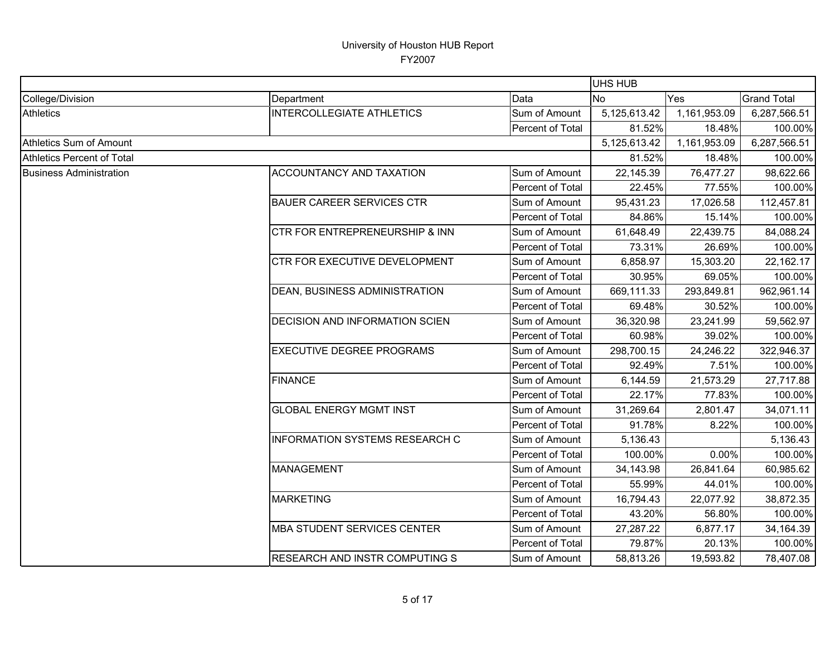|                                   |                                       |                         | <b>UHS HUB</b> |              |                    |
|-----------------------------------|---------------------------------------|-------------------------|----------------|--------------|--------------------|
| College/Division                  | Department                            | Data                    | N <sub>o</sub> | Yes          | <b>Grand Total</b> |
| <b>Athletics</b>                  | <b>INTERCOLLEGIATE ATHLETICS</b>      | Sum of Amount           | 5,125,613.42   | 1,161,953.09 | 6,287,566.51       |
|                                   |                                       | Percent of Total        | 81.52%         | 18.48%       | 100.00%            |
| <b>Athletics Sum of Amount</b>    |                                       |                         | 5,125,613.42   | 1,161,953.09 | 6,287,566.51       |
| <b>Athletics Percent of Total</b> |                                       |                         | 81.52%         | 18.48%       | 100.00%            |
| <b>Business Administration</b>    | <b>ACCOUNTANCY AND TAXATION</b>       | Sum of Amount           | 22,145.39      | 76,477.27    | 98,622.66          |
|                                   |                                       | <b>Percent of Total</b> | 22.45%         | 77.55%       | 100.00%            |
|                                   | <b>BAUER CAREER SERVICES CTR</b>      | Sum of Amount           | 95,431.23      | 17,026.58    | 112,457.81         |
|                                   |                                       | Percent of Total        | 84.86%         | 15.14%       | 100.00%            |
|                                   | CTR FOR ENTREPRENEURSHIP & INN        | Sum of Amount           | 61,648.49      | 22,439.75    | 84,088.24          |
|                                   |                                       | Percent of Total        | 73.31%         | 26.69%       | 100.00%            |
|                                   | CTR FOR EXECUTIVE DEVELOPMENT         | Sum of Amount           | 6,858.97       | 15,303.20    | 22,162.17          |
|                                   |                                       | Percent of Total        | 30.95%         | 69.05%       | 100.00%            |
|                                   | DEAN, BUSINESS ADMINISTRATION         | Sum of Amount           | 669,111.33     | 293,849.81   | 962,961.14         |
|                                   |                                       | Percent of Total        | 69.48%         | 30.52%       | 100.00%            |
|                                   | DECISION AND INFORMATION SCIEN        | Sum of Amount           | 36,320.98      | 23,241.99    | 59,562.97          |
|                                   |                                       | Percent of Total        | 60.98%         | 39.02%       | 100.00%            |
|                                   | <b>EXECUTIVE DEGREE PROGRAMS</b>      | Sum of Amount           | 298,700.15     | 24,246.22    | 322,946.37         |
|                                   |                                       | <b>Percent of Total</b> | 92.49%         | 7.51%        | 100.00%            |
|                                   | <b>FINANCE</b>                        | Sum of Amount           | 6,144.59       | 21,573.29    | 27,717.88          |
|                                   |                                       | Percent of Total        | 22.17%         | 77.83%       | 100.00%            |
|                                   | <b>GLOBAL ENERGY MGMT INST</b>        | Sum of Amount           | 31,269.64      | 2,801.47     | 34,071.11          |
|                                   |                                       | Percent of Total        | 91.78%         | 8.22%        | 100.00%            |
|                                   | <b>INFORMATION SYSTEMS RESEARCH C</b> | Sum of Amount           | 5,136.43       |              | 5,136.43           |
|                                   |                                       | Percent of Total        | 100.00%        | 0.00%        | 100.00%            |
|                                   | MANAGEMENT                            | Sum of Amount           | 34,143.98      | 26,841.64    | 60,985.62          |
|                                   |                                       | Percent of Total        | 55.99%         | 44.01%       | 100.00%            |
|                                   | <b>MARKETING</b>                      | Sum of Amount           | 16,794.43      | 22,077.92    | 38,872.35          |
|                                   |                                       | Percent of Total        | 43.20%         | 56.80%       | 100.00%            |
|                                   | MBA STUDENT SERVICES CENTER           | Sum of Amount           | 27,287.22      | 6,877.17     | 34,164.39          |
|                                   |                                       | Percent of Total        | 79.87%         | 20.13%       | 100.00%            |
|                                   | <b>RESEARCH AND INSTR COMPUTING S</b> | Sum of Amount           | 58,813.26      | 19,593.82    | 78,407.08          |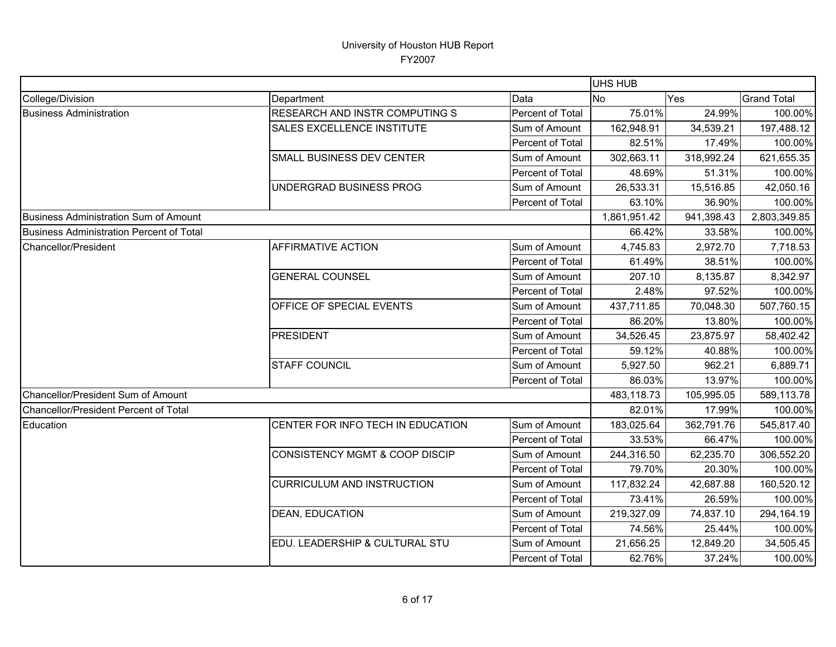|                                          |                                   |                         | UHS HUB      |            |                    |
|------------------------------------------|-----------------------------------|-------------------------|--------------|------------|--------------------|
| College/Division                         | Department                        | Data                    | <b>No</b>    | Yes        | <b>Grand Total</b> |
| <b>Business Administration</b>           | RESEARCH AND INSTR COMPUTING S    | Percent of Total        | 75.01%       | 24.99%     | 100.00%            |
|                                          | SALES EXCELLENCE INSTITUTE        | Sum of Amount           | 162,948.91   | 34,539.21  | 197,488.12         |
|                                          |                                   | Percent of Total        | 82.51%       | 17.49%     | 100.00%            |
|                                          | SMALL BUSINESS DEV CENTER         | Sum of Amount           | 302,663.11   | 318,992.24 | 621,655.35         |
|                                          |                                   | Percent of Total        | 48.69%       | 51.31%     | 100.00%            |
|                                          | UNDERGRAD BUSINESS PROG           | Sum of Amount           | 26,533.31    | 15,516.85  | 42,050.16          |
|                                          |                                   | Percent of Total        | 63.10%       | 36.90%     | 100.00%            |
| Business Administration Sum of Amount    |                                   |                         | 1,861,951.42 | 941,398.43 | 2,803,349.85       |
| Business Administration Percent of Total |                                   |                         | 66.42%       | 33.58%     | 100.00%            |
| Chancellor/President                     | AFFIRMATIVE ACTION                | Sum of Amount           | 4,745.83     | 2,972.70   | 7,718.53           |
|                                          |                                   | Percent of Total        | 61.49%       | 38.51%     | 100.00%            |
|                                          | <b>GENERAL COUNSEL</b>            | Sum of Amount           | 207.10       | 8,135.87   | 8,342.97           |
|                                          |                                   | Percent of Total        | 2.48%        | 97.52%     | 100.00%            |
|                                          | OFFICE OF SPECIAL EVENTS          | Sum of Amount           | 437,711.85   | 70,048.30  | 507,760.15         |
|                                          |                                   | Percent of Total        | 86.20%       | 13.80%     | 100.00%            |
|                                          | <b>PRESIDENT</b>                  | Sum of Amount           | 34,526.45    | 23,875.97  | 58,402.42          |
|                                          |                                   | Percent of Total        | 59.12%       | 40.88%     | 100.00%            |
|                                          | <b>STAFF COUNCIL</b>              | Sum of Amount           | 5,927.50     | 962.21     | 6,889.71           |
|                                          |                                   | Percent of Total        | 86.03%       | 13.97%     | 100.00%            |
| Chancellor/President Sum of Amount       |                                   |                         | 483,118.73   | 105,995.05 | 589,113.78         |
| Chancellor/President Percent of Total    |                                   |                         | 82.01%       | 17.99%     | 100.00%            |
| Education                                | CENTER FOR INFO TECH IN EDUCATION | Sum of Amount           | 183,025.64   | 362,791.76 | 545,817.40         |
|                                          |                                   | Percent of Total        | 33.53%       | 66.47%     | 100.00%            |
|                                          | CONSISTENCY MGMT & COOP DISCIP    | Sum of Amount           | 244,316.50   | 62,235.70  | 306,552.20         |
|                                          |                                   | Percent of Total        | 79.70%       | 20.30%     | 100.00%            |
|                                          | <b>CURRICULUM AND INSTRUCTION</b> | Sum of Amount           | 117,832.24   | 42,687.88  | 160,520.12         |
|                                          |                                   | Percent of Total        | 73.41%       | 26.59%     | 100.00%            |
|                                          | <b>DEAN, EDUCATION</b>            | Sum of Amount           | 219,327.09   | 74,837.10  | 294,164.19         |
|                                          |                                   | <b>Percent of Total</b> | 74.56%       | 25.44%     | 100.00%            |
|                                          | EDU. LEADERSHIP & CULTURAL STU    | Sum of Amount           | 21,656.25    | 12,849.20  | 34,505.45          |
|                                          |                                   | Percent of Total        | 62.76%       | 37.24%     | 100.00%            |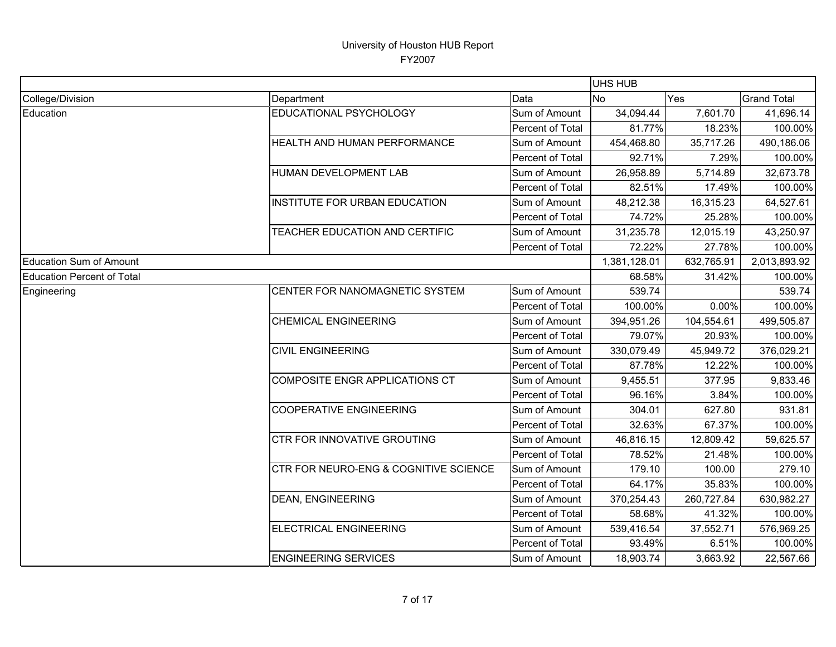|                                   |                                       |                  | <b>UHS HUB</b> |              |                    |
|-----------------------------------|---------------------------------------|------------------|----------------|--------------|--------------------|
| College/Division                  | Department                            | Data             | No.            | Yes          | <b>Grand Total</b> |
| Education                         | EDUCATIONAL PSYCHOLOGY                | Sum of Amount    | 34,094.44      | 7,601.70     | 41,696.14          |
|                                   |                                       | Percent of Total | 81.77%         | 18.23%       | 100.00%            |
|                                   | HEALTH AND HUMAN PERFORMANCE          | Sum of Amount    | 454,468.80     | 35,717.26    | 490,186.06         |
|                                   |                                       | Percent of Total | 92.71%         | 7.29%        | 100.00%            |
|                                   | HUMAN DEVELOPMENT LAB                 | Sum of Amount    | 26,958.89      | 5,714.89     | 32,673.78          |
|                                   |                                       | Percent of Total | 82.51%         | 17.49%       | 100.00%            |
|                                   | INSTITUTE FOR URBAN EDUCATION         | Sum of Amount    | 48,212.38      | 16,315.23    | 64,527.61          |
|                                   |                                       | Percent of Total | 74.72%         | 25.28%       | 100.00%            |
|                                   | TEACHER EDUCATION AND CERTIFIC        | Sum of Amount    | 31,235.78      | 12,015.19    | 43,250.97          |
|                                   |                                       | Percent of Total | 72.22%         | 27.78%       | 100.00%            |
| <b>Education Sum of Amount</b>    |                                       | 1,381,128.01     | 632,765.91     | 2,013,893.92 |                    |
| <b>Education Percent of Total</b> |                                       |                  | 68.58%         | 31.42%       | 100.00%            |
| Engineering                       | CENTER FOR NANOMAGNETIC SYSTEM        | Sum of Amount    | 539.74         |              | 539.74             |
|                                   |                                       | Percent of Total | 100.00%        | 0.00%        | 100.00%            |
|                                   | <b>CHEMICAL ENGINEERING</b>           | Sum of Amount    | 394,951.26     | 104,554.61   | 499,505.87         |
|                                   |                                       | Percent of Total | 79.07%         | 20.93%       | 100.00%            |
|                                   | <b>CIVIL ENGINEERING</b>              | Sum of Amount    | 330,079.49     | 45,949.72    | 376,029.21         |
|                                   |                                       | Percent of Total | 87.78%         | 12.22%       | 100.00%            |
|                                   | COMPOSITE ENGR APPLICATIONS CT        | Sum of Amount    | 9,455.51       | 377.95       | 9,833.46           |
|                                   |                                       | Percent of Total | 96.16%         | 3.84%        | 100.00%            |
|                                   | <b>COOPERATIVE ENGINEERING</b>        | Sum of Amount    | 304.01         | 627.80       | 931.81             |
|                                   |                                       | Percent of Total | 32.63%         | 67.37%       | 100.00%            |
|                                   | CTR FOR INNOVATIVE GROUTING           | Sum of Amount    | 46,816.15      | 12,809.42    | 59,625.57          |
|                                   |                                       | Percent of Total | 78.52%         | 21.48%       | 100.00%            |
|                                   | CTR FOR NEURO-ENG & COGNITIVE SCIENCE | Sum of Amount    | 179.10         | 100.00       | 279.10             |
|                                   |                                       | Percent of Total | 64.17%         | 35.83%       | 100.00%            |
|                                   | <b>DEAN, ENGINEERING</b>              | Sum of Amount    | 370,254.43     | 260,727.84   | 630,982.27         |
|                                   |                                       | Percent of Total | 58.68%         | 41.32%       | 100.00%            |
|                                   | ELECTRICAL ENGINEERING                | Sum of Amount    | 539,416.54     | 37,552.71    | 576,969.25         |
|                                   |                                       | Percent of Total | 93.49%         | 6.51%        | 100.00%            |
|                                   | <b>ENGINEERING SERVICES</b>           | Sum of Amount    | 18,903.74      | 3,663.92     | 22,567.66          |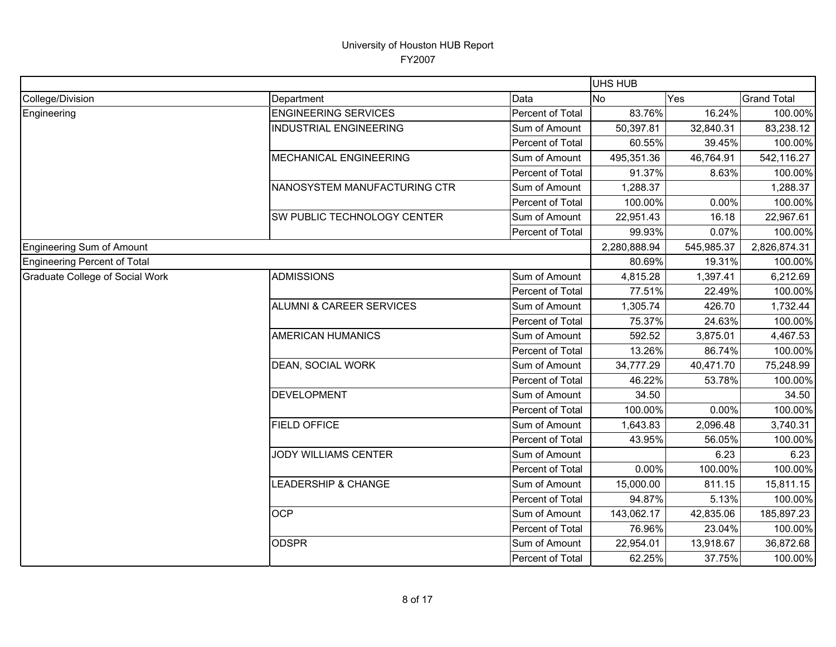|                                     |                               |                  | UHS HUB        |            |                    |
|-------------------------------------|-------------------------------|------------------|----------------|------------|--------------------|
| College/Division                    | Department                    | Data             | N <sub>o</sub> | Yes        | <b>Grand Total</b> |
| Engineering                         | <b>ENGINEERING SERVICES</b>   | Percent of Total | 83.76%         | 16.24%     | 100.00%            |
|                                     | <b>INDUSTRIAL ENGINEERING</b> | Sum of Amount    | 50,397.81      | 32,840.31  | 83,238.12          |
|                                     |                               | Percent of Total | 60.55%         | 39.45%     | 100.00%            |
|                                     | <b>MECHANICAL ENGINEERING</b> | Sum of Amount    | 495,351.36     | 46,764.91  | 542,116.27         |
|                                     |                               | Percent of Total | 91.37%         | 8.63%      | 100.00%            |
|                                     | NANOSYSTEM MANUFACTURING CTR  | Sum of Amount    | 1,288.37       |            | 1,288.37           |
|                                     |                               | Percent of Total | 100.00%        | 0.00%      | 100.00%            |
|                                     | SW PUBLIC TECHNOLOGY CENTER   | Sum of Amount    | 22,951.43      | 16.18      | 22,967.61          |
|                                     |                               | Percent of Total | 99.93%         | 0.07%      | 100.00%            |
| <b>Engineering Sum of Amount</b>    |                               |                  | 2,280,888.94   | 545,985.37 | 2,826,874.31       |
| <b>Engineering Percent of Total</b> |                               |                  | 80.69%         | 19.31%     | 100.00%            |
| Graduate College of Social Work     | <b>ADMISSIONS</b>             | Sum of Amount    | 4,815.28       | 1,397.41   | 6,212.69           |
|                                     |                               | Percent of Total | 77.51%         | 22.49%     | 100.00%            |
|                                     | ALUMNI & CAREER SERVICES      | Sum of Amount    | 1,305.74       | 426.70     | 1,732.44           |
|                                     |                               | Percent of Total | 75.37%         | 24.63%     | 100.00%            |
|                                     | <b>AMERICAN HUMANICS</b>      | Sum of Amount    | 592.52         | 3,875.01   | 4,467.53           |
|                                     |                               | Percent of Total | 13.26%         | 86.74%     | 100.00%            |
|                                     | DEAN, SOCIAL WORK             | Sum of Amount    | 34,777.29      | 40,471.70  | 75,248.99          |
|                                     |                               | Percent of Total | 46.22%         | 53.78%     | 100.00%            |
|                                     | <b>DEVELOPMENT</b>            | Sum of Amount    | 34.50          |            | 34.50              |
|                                     |                               | Percent of Total | 100.00%        | 0.00%      | 100.00%            |
|                                     | <b>FIELD OFFICE</b>           | Sum of Amount    | 1,643.83       | 2,096.48   | 3,740.31           |
|                                     |                               | Percent of Total | 43.95%         | 56.05%     | 100.00%            |
|                                     | <b>JODY WILLIAMS CENTER</b>   | Sum of Amount    |                | 6.23       | 6.23               |
|                                     |                               | Percent of Total | 0.00%          | 100.00%    | 100.00%            |
|                                     | LEADERSHIP & CHANGE           | Sum of Amount    | 15,000.00      | 811.15     | 15,811.15          |
|                                     |                               | Percent of Total | 94.87%         | 5.13%      | 100.00%            |
|                                     | <b>OCP</b>                    | Sum of Amount    | 143,062.17     | 42,835.06  | 185,897.23         |
|                                     |                               | Percent of Total | 76.96%         | 23.04%     | 100.00%            |
|                                     | <b>ODSPR</b>                  | Sum of Amount    | 22,954.01      | 13,918.67  | 36,872.68          |
|                                     |                               | Percent of Total | 62.25%         | 37.75%     | 100.00%            |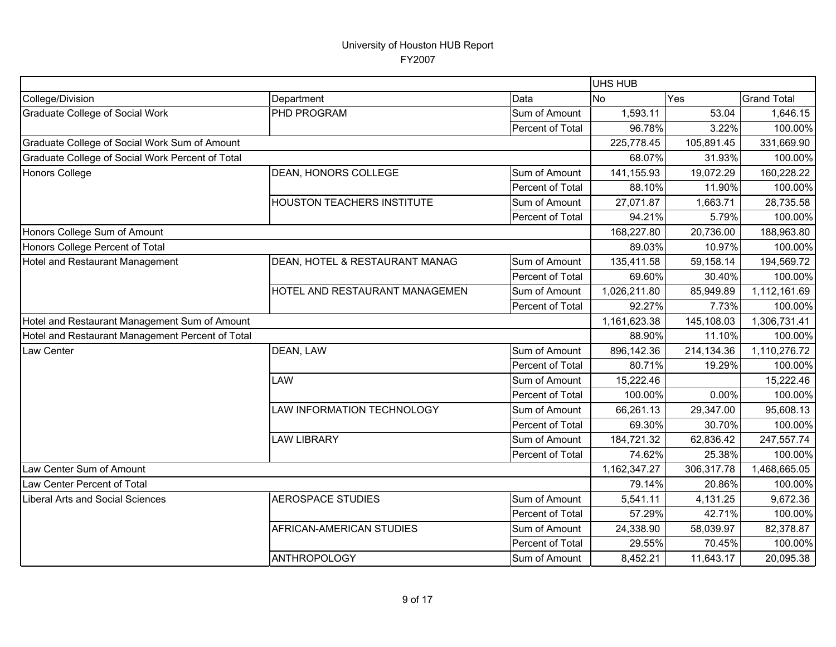|                                                  |                                |                         | UHS HUB      |            |                    |
|--------------------------------------------------|--------------------------------|-------------------------|--------------|------------|--------------------|
| College/Division                                 | Department                     | Data                    | <b>No</b>    | Yes        | <b>Grand Total</b> |
| <b>Graduate College of Social Work</b>           | PHD PROGRAM                    | Sum of Amount           | 1,593.11     | 53.04      | 1,646.15           |
|                                                  |                                | Percent of Total        | 96.78%       | 3.22%      | 100.00%            |
| Graduate College of Social Work Sum of Amount    |                                |                         | 225,778.45   | 105,891.45 | 331,669.90         |
| Graduate College of Social Work Percent of Total |                                |                         | 68.07%       | 31.93%     | 100.00%            |
| Honors College                                   | DEAN, HONORS COLLEGE           | Sum of Amount           | 141,155.93   | 19,072.29  | 160,228.22         |
|                                                  |                                | Percent of Total        | 88.10%       | 11.90%     | 100.00%            |
|                                                  | HOUSTON TEACHERS INSTITUTE     | Sum of Amount           | 27,071.87    | 1,663.71   | 28,735.58          |
|                                                  |                                | Percent of Total        | 94.21%       | 5.79%      | 100.00%            |
| Honors College Sum of Amount                     |                                |                         | 168,227.80   | 20,736.00  | 188,963.80         |
| Honors College Percent of Total                  |                                |                         | 89.03%       | 10.97%     | 100.00%            |
| Hotel and Restaurant Management                  | DEAN, HOTEL & RESTAURANT MANAG | Sum of Amount           | 135,411.58   | 59,158.14  | 194,569.72         |
|                                                  |                                | Percent of Total        | 69.60%       | 30.40%     | 100.00%            |
|                                                  | HOTEL AND RESTAURANT MANAGEMEN | Sum of Amount           | 1,026,211.80 | 85,949.89  | 1,112,161.69       |
|                                                  |                                | Percent of Total        | 92.27%       | 7.73%      | 100.00%            |
| Hotel and Restaurant Management Sum of Amount    |                                |                         | 1,161,623.38 | 145,108.03 | 1,306,731.41       |
| Hotel and Restaurant Management Percent of Total |                                |                         | 88.90%       | 11.10%     | 100.00%            |
| Law Center                                       | DEAN, LAW                      | Sum of Amount           | 896,142.36   | 214,134.36 | 1,110,276.72       |
|                                                  |                                | Percent of Total        | 80.71%       | 19.29%     | 100.00%            |
|                                                  | LAW                            | Sum of Amount           | 15,222.46    |            | 15,222.46          |
|                                                  |                                | Percent of Total        | 100.00%      | 0.00%      | 100.00%            |
|                                                  | LAW INFORMATION TECHNOLOGY     | Sum of Amount           | 66,261.13    | 29,347.00  | 95,608.13          |
|                                                  |                                | <b>Percent of Total</b> | 69.30%       | 30.70%     | 100.00%            |
|                                                  | <b>LAW LIBRARY</b>             | Sum of Amount           | 184,721.32   | 62,836.42  | 247,557.74         |
|                                                  |                                | Percent of Total        | 74.62%       | 25.38%     | 100.00%            |
| Law Center Sum of Amount                         |                                |                         | 1,162,347.27 | 306,317.78 | 1,468,665.05       |
| Law Center Percent of Total                      |                                |                         | 79.14%       | 20.86%     | 100.00%            |
| Liberal Arts and Social Sciences                 | <b>AEROSPACE STUDIES</b>       | Sum of Amount           | 5,541.11     | 4,131.25   | 9,672.36           |
|                                                  |                                | Percent of Total        | 57.29%       | 42.71%     | 100.00%            |
|                                                  | AFRICAN-AMERICAN STUDIES       | Sum of Amount           | 24,338.90    | 58,039.97  | 82,378.87          |
|                                                  |                                | Percent of Total        | 29.55%       | 70.45%     | 100.00%            |
|                                                  | <b>ANTHROPOLOGY</b>            | Sum of Amount           | 8,452.21     | 11,643.17  | 20,095.38          |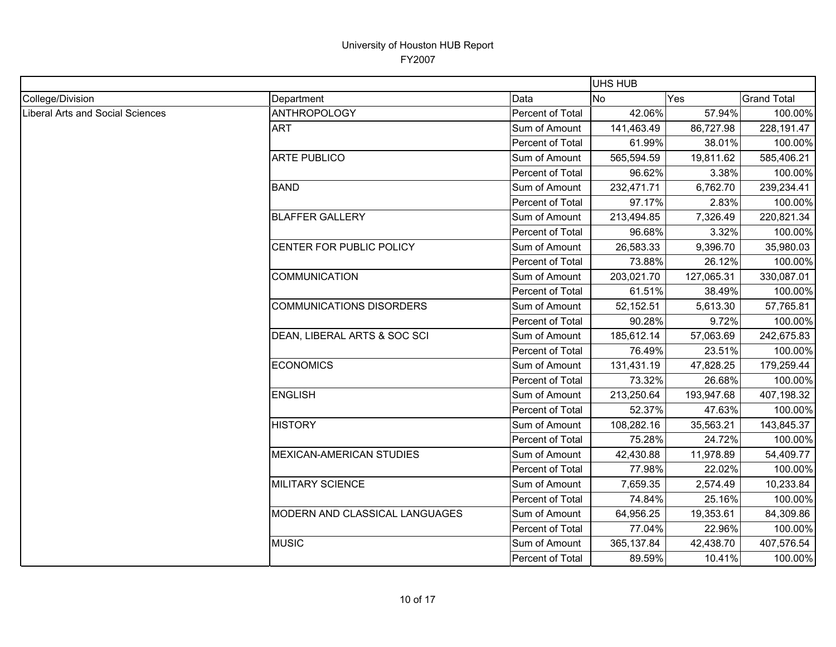|                                  |                                 |                         | UHS HUB    |            |                    |
|----------------------------------|---------------------------------|-------------------------|------------|------------|--------------------|
| College/Division                 | Department                      | Data                    | No         | Yes        | <b>Grand Total</b> |
| Liberal Arts and Social Sciences | <b>ANTHROPOLOGY</b>             | Percent of Total        | 42.06%     | 57.94%     | 100.00%            |
|                                  | <b>ART</b>                      | Sum of Amount           | 141,463.49 | 86,727.98  | 228,191.47         |
|                                  |                                 | Percent of Total        | 61.99%     | 38.01%     | 100.00%            |
|                                  | <b>ARTE PUBLICO</b>             | Sum of Amount           | 565,594.59 | 19,811.62  | 585,406.21         |
|                                  |                                 | Percent of Total        | 96.62%     | 3.38%      | 100.00%            |
|                                  | <b>BAND</b>                     | Sum of Amount           | 232,471.71 | 6,762.70   | 239,234.41         |
|                                  |                                 | Percent of Total        | 97.17%     | 2.83%      | 100.00%            |
|                                  | <b>BLAFFER GALLERY</b>          | Sum of Amount           | 213,494.85 | 7,326.49   | 220,821.34         |
|                                  |                                 | Percent of Total        | 96.68%     | 3.32%      | 100.00%            |
|                                  | CENTER FOR PUBLIC POLICY        | Sum of Amount           | 26,583.33  | 9,396.70   | 35,980.03          |
|                                  |                                 | Percent of Total        | 73.88%     | 26.12%     | 100.00%            |
|                                  | <b>COMMUNICATION</b>            | Sum of Amount           | 203,021.70 | 127,065.31 | 330,087.01         |
|                                  |                                 | Percent of Total        | 61.51%     | 38.49%     | 100.00%            |
|                                  | <b>COMMUNICATIONS DISORDERS</b> | Sum of Amount           | 52,152.51  | 5,613.30   | 57,765.81          |
|                                  |                                 | Percent of Total        | 90.28%     | 9.72%      | 100.00%            |
|                                  | DEAN, LIBERAL ARTS & SOC SCI    | Sum of Amount           | 185,612.14 | 57,063.69  | 242,675.83         |
|                                  |                                 | Percent of Total        | 76.49%     | 23.51%     | 100.00%            |
|                                  | <b>ECONOMICS</b>                | Sum of Amount           | 131,431.19 | 47,828.25  | 179,259.44         |
|                                  |                                 | Percent of Total        | 73.32%     | 26.68%     | 100.00%            |
|                                  | <b>ENGLISH</b>                  | Sum of Amount           | 213,250.64 | 193,947.68 | 407,198.32         |
|                                  |                                 | Percent of Total        | 52.37%     | 47.63%     | 100.00%            |
|                                  | <b>HISTORY</b>                  | Sum of Amount           | 108,282.16 | 35,563.21  | 143,845.37         |
|                                  |                                 | Percent of Total        | 75.28%     | 24.72%     | 100.00%            |
|                                  | <b>MEXICAN-AMERICAN STUDIES</b> | Sum of Amount           | 42,430.88  | 11,978.89  | 54,409.77          |
|                                  |                                 | Percent of Total        | 77.98%     | 22.02%     | 100.00%            |
|                                  | <b>MILITARY SCIENCE</b>         | Sum of Amount           | 7,659.35   | 2,574.49   | 10,233.84          |
|                                  |                                 | <b>Percent of Total</b> | 74.84%     | 25.16%     | 100.00%            |
|                                  | MODERN AND CLASSICAL LANGUAGES  | Sum of Amount           | 64,956.25  | 19,353.61  | 84,309.86          |
|                                  |                                 | Percent of Total        | 77.04%     | 22.96%     | 100.00%            |
|                                  | <b>MUSIC</b>                    | Sum of Amount           | 365,137.84 | 42,438.70  | 407,576.54         |
|                                  |                                 | Percent of Total        | 89.59%     | 10.41%     | 100.00%            |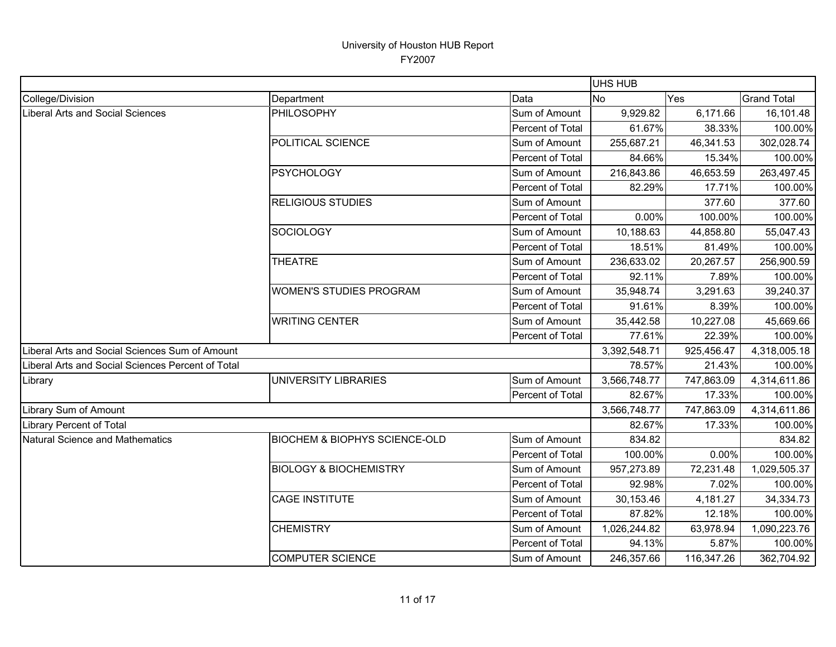|                                                   |                                          |                  | <b>UHS HUB</b> |            |                    |
|---------------------------------------------------|------------------------------------------|------------------|----------------|------------|--------------------|
| College/Division                                  | Department                               | Data             | <b>No</b>      | Yes        | <b>Grand Total</b> |
| Liberal Arts and Social Sciences                  | PHILOSOPHY                               | Sum of Amount    | 9,929.82       | 6,171.66   | 16,101.48          |
|                                                   |                                          | Percent of Total | 61.67%         | 38.33%     | 100.00%            |
|                                                   | POLITICAL SCIENCE                        | Sum of Amount    | 255,687.21     | 46,341.53  | 302,028.74         |
|                                                   |                                          | Percent of Total | 84.66%         | 15.34%     | 100.00%            |
|                                                   | <b>PSYCHOLOGY</b>                        | Sum of Amount    | 216,843.86     | 46,653.59  | 263,497.45         |
|                                                   |                                          | Percent of Total | 82.29%         | 17.71%     | 100.00%            |
|                                                   | <b>RELIGIOUS STUDIES</b>                 | Sum of Amount    |                | 377.60     | 377.60             |
|                                                   |                                          | Percent of Total | 0.00%          | 100.00%    | 100.00%            |
|                                                   | <b>SOCIOLOGY</b>                         | Sum of Amount    | 10,188.63      | 44,858.80  | 55,047.43          |
|                                                   |                                          | Percent of Total | 18.51%         | 81.49%     | 100.00%            |
|                                                   | <b>THEATRE</b>                           | Sum of Amount    | 236,633.02     | 20,267.57  | 256,900.59         |
|                                                   |                                          | Percent of Total | 92.11%         | 7.89%      | 100.00%            |
|                                                   | <b>WOMEN'S STUDIES PROGRAM</b>           | Sum of Amount    | 35,948.74      | 3,291.63   | 39,240.37          |
|                                                   |                                          | Percent of Total | 91.61%         | 8.39%      | 100.00%            |
|                                                   | <b>WRITING CENTER</b>                    | Sum of Amount    | 35,442.58      | 10,227.08  | 45,669.66          |
|                                                   |                                          | Percent of Total | 77.61%         | 22.39%     | 100.00%            |
| Liberal Arts and Social Sciences Sum of Amount    |                                          |                  | 3,392,548.71   | 925,456.47 | 4,318,005.18       |
| Liberal Arts and Social Sciences Percent of Total |                                          |                  | 78.57%         | 21.43%     | 100.00%            |
| Library                                           | <b>UNIVERSITY LIBRARIES</b>              | Sum of Amount    | 3,566,748.77   | 747,863.09 | 4,314,611.86       |
|                                                   |                                          | Percent of Total | 82.67%         | 17.33%     | 100.00%            |
| Library Sum of Amount                             |                                          |                  | 3,566,748.77   | 747,863.09 | 4,314,611.86       |
| Library Percent of Total                          |                                          |                  | 82.67%         | 17.33%     | 100.00%            |
| Natural Science and Mathematics                   | <b>BIOCHEM &amp; BIOPHYS SCIENCE-OLD</b> | Sum of Amount    | 834.82         |            | 834.82             |
|                                                   |                                          | Percent of Total | 100.00%        | 0.00%      | 100.00%            |
|                                                   | <b>BIOLOGY &amp; BIOCHEMISTRY</b>        | Sum of Amount    | 957,273.89     | 72,231.48  | 1,029,505.37       |
|                                                   |                                          | Percent of Total | 92.98%         | 7.02%      | 100.00%            |
|                                                   | <b>CAGE INSTITUTE</b>                    | Sum of Amount    | 30,153.46      | 4,181.27   | 34,334.73          |
|                                                   |                                          | Percent of Total | 87.82%         | 12.18%     | 100.00%            |
|                                                   | <b>CHEMISTRY</b>                         | Sum of Amount    | 1,026,244.82   | 63,978.94  | 1,090,223.76       |
|                                                   |                                          | Percent of Total | 94.13%         | 5.87%      | 100.00%            |
|                                                   | <b>COMPUTER SCIENCE</b>                  | Sum of Amount    | 246,357.66     | 116,347.26 | 362,704.92         |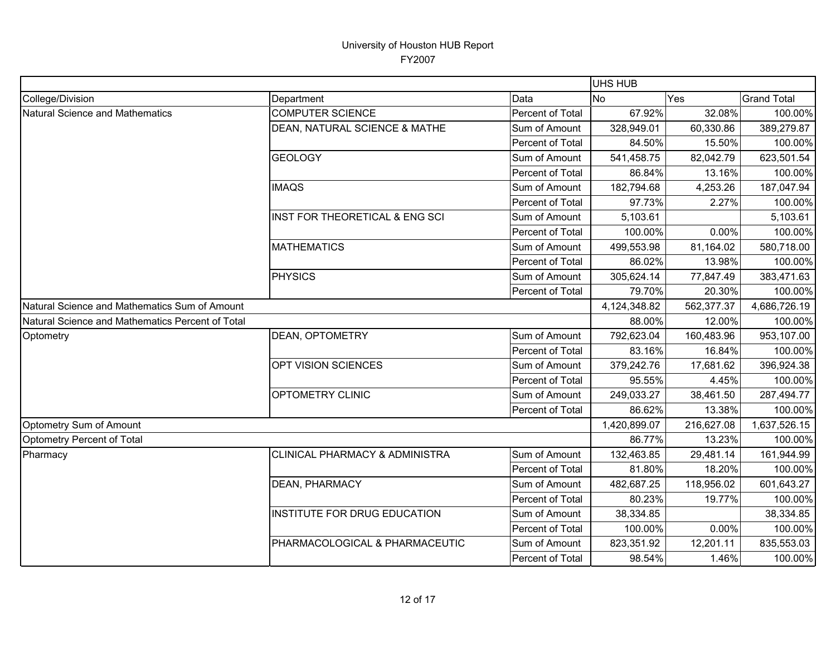|                                                  |                                           |                         | UHS HUB      |              |                    |
|--------------------------------------------------|-------------------------------------------|-------------------------|--------------|--------------|--------------------|
| College/Division                                 | Department                                | Data                    | <b>No</b>    | Yes          | <b>Grand Total</b> |
| Natural Science and Mathematics                  | <b>COMPUTER SCIENCE</b>                   | Percent of Total        | 67.92%       | 32.08%       | 100.00%            |
|                                                  | DEAN, NATURAL SCIENCE & MATHE             | Sum of Amount           | 328,949.01   | 60,330.86    | 389,279.87         |
|                                                  |                                           | Percent of Total        | 84.50%       | 15.50%       | 100.00%            |
|                                                  | <b>GEOLOGY</b>                            | Sum of Amount           | 541,458.75   | 82,042.79    | 623,501.54         |
|                                                  |                                           | Percent of Total        | 86.84%       | 13.16%       | 100.00%            |
|                                                  | <b>IMAQS</b>                              | Sum of Amount           | 182,794.68   | 4,253.26     | 187,047.94         |
|                                                  |                                           | Percent of Total        | 97.73%       | 2.27%        | 100.00%            |
|                                                  | INST FOR THEORETICAL & ENG SCI            | Sum of Amount           | 5,103.61     |              | 5,103.61           |
|                                                  |                                           | Percent of Total        | 100.00%      | 0.00%        | 100.00%            |
|                                                  | <b>MATHEMATICS</b>                        | Sum of Amount           | 499,553.98   | 81,164.02    | 580,718.00         |
|                                                  |                                           | Percent of Total        | 86.02%       | 13.98%       | 100.00%            |
|                                                  | <b>PHYSICS</b>                            | Sum of Amount           | 305,624.14   | 77,847.49    | 383,471.63         |
|                                                  |                                           | Percent of Total        | 79.70%       | 20.30%       | 100.00%            |
| Natural Science and Mathematics Sum of Amount    |                                           | 4,124,348.82            | 562,377.37   | 4,686,726.19 |                    |
| Natural Science and Mathematics Percent of Total |                                           |                         | 88.00%       | 12.00%       | 100.00%            |
| Optometry                                        | <b>DEAN, OPTOMETRY</b>                    | Sum of Amount           | 792,623.04   | 160,483.96   | 953,107.00         |
|                                                  |                                           | Percent of Total        | 83.16%       | 16.84%       | 100.00%            |
|                                                  | OPT VISION SCIENCES                       | Sum of Amount           | 379,242.76   | 17,681.62    | 396,924.38         |
|                                                  |                                           | Percent of Total        | 95.55%       | 4.45%        | 100.00%            |
|                                                  | OPTOMETRY CLINIC                          | Sum of Amount           | 249,033.27   | 38,461.50    | 287,494.77         |
|                                                  |                                           | Percent of Total        | 86.62%       | 13.38%       | 100.00%            |
| Optometry Sum of Amount                          |                                           |                         | 1,420,899.07 | 216,627.08   | 1,637,526.15       |
| Optometry Percent of Total                       |                                           |                         | 86.77%       | 13.23%       | 100.00%            |
| Pharmacy                                         | <b>CLINICAL PHARMACY &amp; ADMINISTRA</b> | Sum of Amount           | 132,463.85   | 29,481.14    | 161,944.99         |
|                                                  |                                           | Percent of Total        | 81.80%       | 18.20%       | 100.00%            |
|                                                  | DEAN, PHARMACY                            | Sum of Amount           | 482,687.25   | 118,956.02   | 601,643.27         |
|                                                  |                                           | Percent of Total        | 80.23%       | 19.77%       | 100.00%            |
|                                                  | INSTITUTE FOR DRUG EDUCATION              | Sum of Amount           | 38,334.85    |              | 38,334.85          |
|                                                  |                                           | <b>Percent of Total</b> | 100.00%      | 0.00%        | 100.00%            |
|                                                  | PHARMACOLOGICAL & PHARMACEUTIC            | Sum of Amount           | 823,351.92   | 12,201.11    | 835,553.03         |
|                                                  |                                           | Percent of Total        | 98.54%       | 1.46%        | 100.00%            |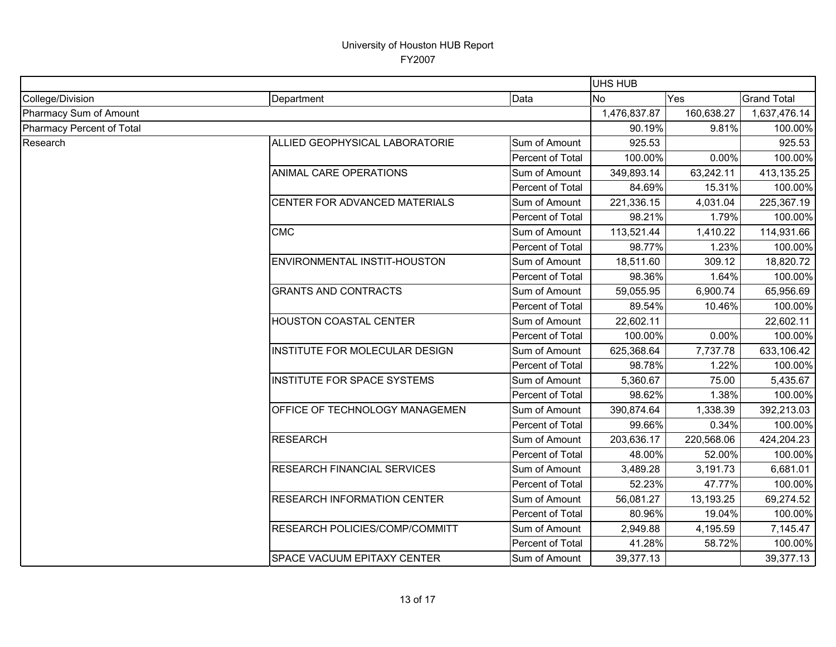|                           |                                    |                  | UHS HUB        |            |                    |
|---------------------------|------------------------------------|------------------|----------------|------------|--------------------|
| College/Division          | Department                         | Data             | N <sub>o</sub> | Yes        | <b>Grand Total</b> |
| Pharmacy Sum of Amount    |                                    |                  | 1,476,837.87   | 160,638.27 | 1,637,476.14       |
| Pharmacy Percent of Total |                                    |                  | 90.19%         | 9.81%      | 100.00%            |
| Research                  | ALLIED GEOPHYSICAL LABORATORIE     | Sum of Amount    | 925.53         |            | 925.53             |
|                           |                                    | Percent of Total | 100.00%        | 0.00%      | 100.00%            |
|                           | ANIMAL CARE OPERATIONS             | Sum of Amount    | 349,893.14     | 63,242.11  | 413,135.25         |
|                           |                                    | Percent of Total | 84.69%         | 15.31%     | 100.00%            |
|                           | CENTER FOR ADVANCED MATERIALS      | Sum of Amount    | 221,336.15     | 4,031.04   | 225,367.19         |
|                           |                                    | Percent of Total | 98.21%         | 1.79%      | 100.00%            |
|                           | <b>CMC</b>                         | Sum of Amount    | 113,521.44     | 1,410.22   | 114,931.66         |
|                           |                                    | Percent of Total | 98.77%         | 1.23%      | 100.00%            |
|                           | ENVIRONMENTAL INSTIT-HOUSTON       | Sum of Amount    | 18,511.60      | 309.12     | 18,820.72          |
|                           |                                    | Percent of Total | 98.36%         | 1.64%      | 100.00%            |
|                           | <b>GRANTS AND CONTRACTS</b>        | Sum of Amount    | 59,055.95      | 6,900.74   | 65,956.69          |
|                           |                                    | Percent of Total | 89.54%         | 10.46%     | 100.00%            |
|                           | HOUSTON COASTAL CENTER             | Sum of Amount    | 22,602.11      |            | 22,602.11          |
|                           |                                    | Percent of Total | 100.00%        | 0.00%      | 100.00%            |
|                           | INSTITUTE FOR MOLECULAR DESIGN     | Sum of Amount    | 625,368.64     | 7,737.78   | 633,106.42         |
|                           |                                    | Percent of Total | 98.78%         | 1.22%      | 100.00%            |
|                           | <b>INSTITUTE FOR SPACE SYSTEMS</b> | Sum of Amount    | 5,360.67       | 75.00      | 5,435.67           |
|                           |                                    | Percent of Total | 98.62%         | 1.38%      | 100.00%            |
|                           | OFFICE OF TECHNOLOGY MANAGEMEN     | Sum of Amount    | 390,874.64     | 1,338.39   | 392,213.03         |
|                           |                                    | Percent of Total | 99.66%         | 0.34%      | 100.00%            |
|                           | <b>RESEARCH</b>                    | Sum of Amount    | 203,636.17     | 220,568.06 | 424,204.23         |
|                           |                                    | Percent of Total | 48.00%         | 52.00%     | 100.00%            |
|                           | <b>RESEARCH FINANCIAL SERVICES</b> | Sum of Amount    | 3,489.28       | 3,191.73   | 6,681.01           |
|                           |                                    | Percent of Total | 52.23%         | 47.77%     | 100.00%            |
|                           | <b>RESEARCH INFORMATION CENTER</b> | Sum of Amount    | 56,081.27      | 13,193.25  | 69,274.52          |
|                           |                                    | Percent of Total | 80.96%         | 19.04%     | 100.00%            |
|                           | RESEARCH POLICIES/COMP/COMMITT     | Sum of Amount    | 2,949.88       | 4,195.59   | 7,145.47           |
|                           |                                    | Percent of Total | 41.28%         | 58.72%     | 100.00%            |
|                           | SPACE VACUUM EPITAXY CENTER        | Sum of Amount    | 39,377.13      |            | 39,377.13          |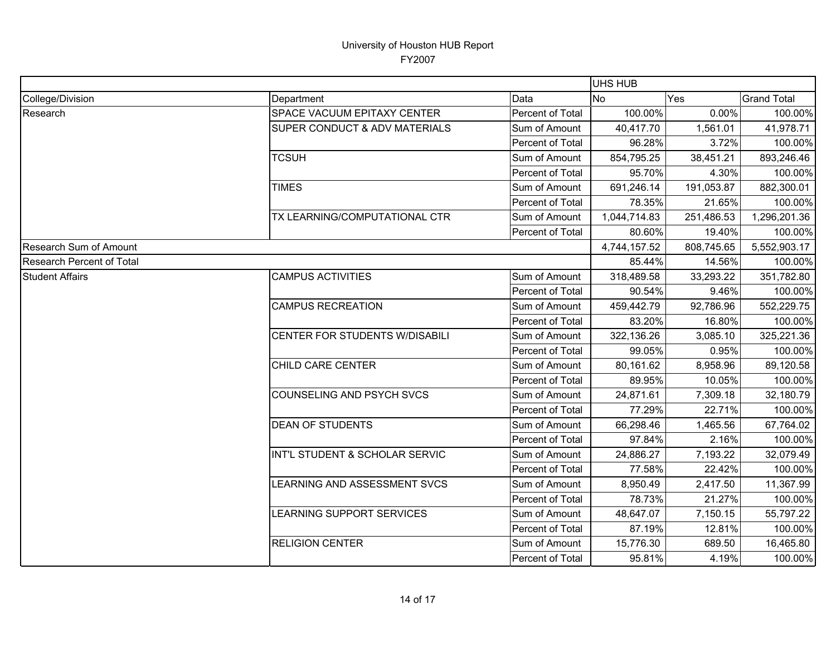|                               |                                |                  |              | UHS HUB    |                    |  |
|-------------------------------|--------------------------------|------------------|--------------|------------|--------------------|--|
| College/Division              | Department                     | Data             | <b>No</b>    | Yes        | <b>Grand Total</b> |  |
| Research                      | SPACE VACUUM EPITAXY CENTER    | Percent of Total | 100.00%      | 0.00%      | 100.00%            |  |
|                               | SUPER CONDUCT & ADV MATERIALS  | Sum of Amount    | 40,417.70    | 1,561.01   | 41,978.71          |  |
|                               |                                | Percent of Total | 96.28%       | 3.72%      | 100.00%            |  |
|                               | <b>TCSUH</b>                   | Sum of Amount    | 854,795.25   | 38,451.21  | 893,246.46         |  |
|                               |                                | Percent of Total | 95.70%       | 4.30%      | 100.00%            |  |
|                               | <b>TIMES</b>                   | Sum of Amount    | 691,246.14   | 191,053.87 | 882,300.01         |  |
|                               |                                | Percent of Total | 78.35%       | 21.65%     | 100.00%            |  |
|                               | TX LEARNING/COMPUTATIONAL CTR  | Sum of Amount    | 1,044,714.83 | 251,486.53 | 1,296,201.36       |  |
|                               |                                | Percent of Total | 80.60%       | 19.40%     | 100.00%            |  |
| <b>Research Sum of Amount</b> |                                |                  | 4,744,157.52 | 808,745.65 | 5,552,903.17       |  |
| Research Percent of Total     |                                |                  | 85.44%       | 14.56%     | 100.00%            |  |
| <b>Student Affairs</b>        | <b>CAMPUS ACTIVITIES</b>       | Sum of Amount    | 318,489.58   | 33,293.22  | 351,782.80         |  |
|                               |                                | Percent of Total | 90.54%       | 9.46%      | 100.00%            |  |
|                               | <b>CAMPUS RECREATION</b>       | Sum of Amount    | 459,442.79   | 92,786.96  | 552,229.75         |  |
|                               |                                | Percent of Total | 83.20%       | 16.80%     | 100.00%            |  |
|                               | CENTER FOR STUDENTS W/DISABILI | Sum of Amount    | 322,136.26   | 3,085.10   | 325,221.36         |  |
|                               |                                | Percent of Total | 99.05%       | 0.95%      | 100.00%            |  |
|                               | <b>CHILD CARE CENTER</b>       | Sum of Amount    | 80,161.62    | 8,958.96   | 89,120.58          |  |
|                               |                                | Percent of Total | 89.95%       | 10.05%     | 100.00%            |  |
|                               | COUNSELING AND PSYCH SVCS      | Sum of Amount    | 24,871.61    | 7,309.18   | 32,180.79          |  |
|                               |                                | Percent of Total | 77.29%       | 22.71%     | 100.00%            |  |
|                               | <b>DEAN OF STUDENTS</b>        | Sum of Amount    | 66,298.46    | 1,465.56   | 67,764.02          |  |
|                               |                                | Percent of Total | 97.84%       | 2.16%      | 100.00%            |  |
|                               | INT'L STUDENT & SCHOLAR SERVIC | Sum of Amount    | 24,886.27    | 7,193.22   | 32,079.49          |  |
|                               |                                | Percent of Total | 77.58%       | 22.42%     | 100.00%            |  |
|                               | LEARNING AND ASSESSMENT SVCS   | Sum of Amount    | 8,950.49     | 2,417.50   | 11,367.99          |  |
|                               |                                | Percent of Total | 78.73%       | 21.27%     | 100.00%            |  |
|                               | LEARNING SUPPORT SERVICES      | Sum of Amount    | 48,647.07    | 7,150.15   | 55,797.22          |  |
|                               |                                | Percent of Total | 87.19%       | 12.81%     | 100.00%            |  |
|                               | <b>RELIGION CENTER</b>         | Sum of Amount    | 15,776.30    | 689.50     | 16,465.80          |  |
|                               |                                | Percent of Total | 95.81%       | 4.19%      | 100.00%            |  |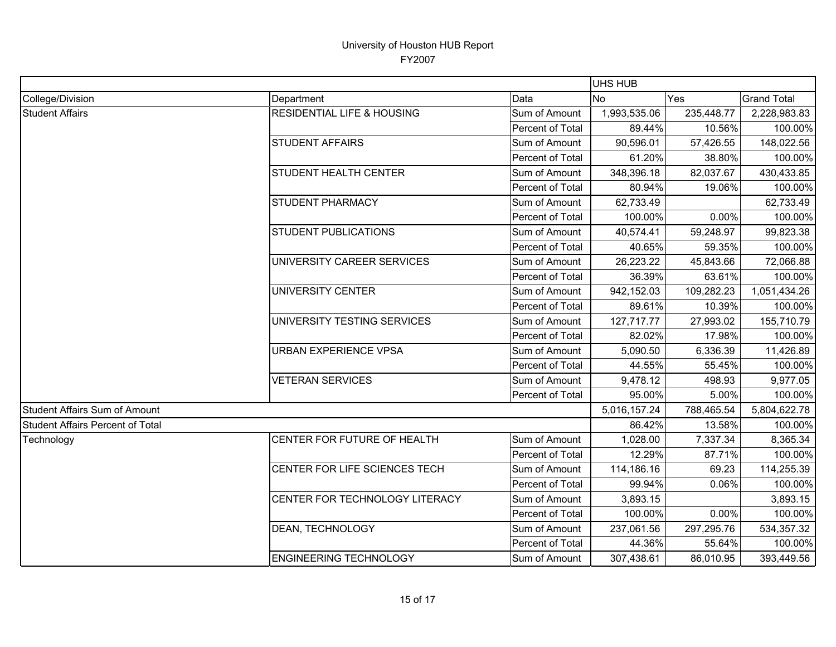|                                      |                                       |                         | UHS HUB        |            |                    |
|--------------------------------------|---------------------------------------|-------------------------|----------------|------------|--------------------|
| College/Division                     | Department                            | Data                    | N <sub>o</sub> | Yes        | <b>Grand Total</b> |
| <b>Student Affairs</b>               | <b>RESIDENTIAL LIFE &amp; HOUSING</b> | Sum of Amount           | 1,993,535.06   | 235,448.77 | 2,228,983.83       |
|                                      |                                       | Percent of Total        | 89.44%         | 10.56%     | 100.00%            |
|                                      | <b>STUDENT AFFAIRS</b>                | Sum of Amount           | 90,596.01      | 57,426.55  | 148,022.56         |
|                                      |                                       | Percent of Total        | 61.20%         | 38.80%     | 100.00%            |
|                                      | STUDENT HEALTH CENTER                 | Sum of Amount           | 348,396.18     | 82,037.67  | 430,433.85         |
|                                      |                                       | Percent of Total        | 80.94%         | 19.06%     | 100.00%            |
|                                      | STUDENT PHARMACY                      | Sum of Amount           | 62,733.49      |            | 62,733.49          |
|                                      |                                       | Percent of Total        | 100.00%        | 0.00%      | 100.00%            |
|                                      | <b>STUDENT PUBLICATIONS</b>           | Sum of Amount           | 40,574.41      | 59,248.97  | 99,823.38          |
|                                      |                                       | Percent of Total        | 40.65%         | 59.35%     | 100.00%            |
|                                      | UNIVERSITY CAREER SERVICES            | Sum of Amount           | 26,223.22      | 45,843.66  | 72,066.88          |
|                                      |                                       | <b>Percent of Total</b> | 36.39%         | 63.61%     | 100.00%            |
|                                      | <b>UNIVERSITY CENTER</b>              | Sum of Amount           | 942,152.03     | 109,282.23 | 1,051,434.26       |
|                                      |                                       | Percent of Total        | 89.61%         | 10.39%     | 100.00%            |
|                                      | UNIVERSITY TESTING SERVICES           | Sum of Amount           | 127,717.77     | 27,993.02  | 155,710.79         |
|                                      |                                       | Percent of Total        | 82.02%         | 17.98%     | 100.00%            |
|                                      | <b>URBAN EXPERIENCE VPSA</b>          | Sum of Amount           | 5,090.50       | 6,336.39   | 11,426.89          |
|                                      |                                       | Percent of Total        | 44.55%         | 55.45%     | 100.00%            |
|                                      | <b>VETERAN SERVICES</b>               | Sum of Amount           | 9,478.12       | 498.93     | 9,977.05           |
|                                      |                                       | Percent of Total        | 95.00%         | 5.00%      | 100.00%            |
| <b>Student Affairs Sum of Amount</b> |                                       |                         | 5,016,157.24   | 788,465.54 | 5,804,622.78       |
| Student Affairs Percent of Total     |                                       |                         | 86.42%         | 13.58%     | 100.00%            |
| Technology                           | CENTER FOR FUTURE OF HEALTH           | Sum of Amount           | 1,028.00       | 7,337.34   | 8,365.34           |
|                                      |                                       | Percent of Total        | 12.29%         | 87.71%     | 100.00%            |
|                                      | CENTER FOR LIFE SCIENCES TECH         | Sum of Amount           | 114,186.16     | 69.23      | 114,255.39         |
|                                      |                                       | Percent of Total        | 99.94%         | 0.06%      | 100.00%            |
|                                      | CENTER FOR TECHNOLOGY LITERACY        | Sum of Amount           | 3,893.15       |            | 3,893.15           |
|                                      |                                       | Percent of Total        | 100.00%        | 0.00%      | 100.00%            |
|                                      | DEAN, TECHNOLOGY                      | Sum of Amount           | 237,061.56     | 297,295.76 | 534,357.32         |
|                                      |                                       | Percent of Total        | 44.36%         | 55.64%     | 100.00%            |
|                                      | <b>ENGINEERING TECHNOLOGY</b>         | Sum of Amount           | 307,438.61     | 86,010.95  | 393,449.56         |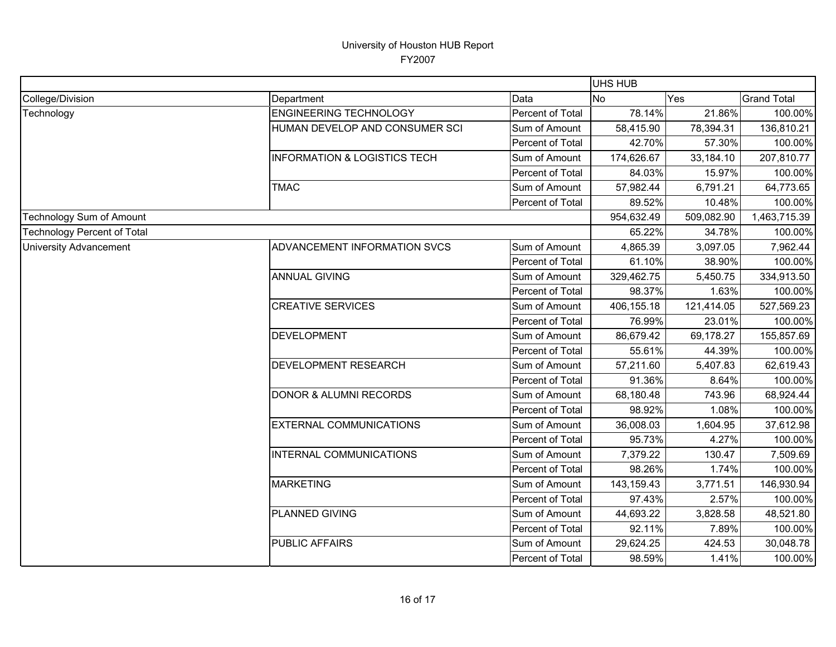|                                    |                                         |                  | <b>UHS HUB</b> |            |                    |
|------------------------------------|-----------------------------------------|------------------|----------------|------------|--------------------|
| College/Division                   | Department                              | Data             | <b>No</b>      | Yes        | <b>Grand Total</b> |
| Technology                         | <b>ENGINEERING TECHNOLOGY</b>           | Percent of Total | 78.14%         | 21.86%     | 100.00%            |
|                                    | HUMAN DEVELOP AND CONSUMER SCI          | Sum of Amount    | 58,415.90      | 78,394.31  | 136,810.21         |
|                                    |                                         | Percent of Total | 42.70%         | 57.30%     | 100.00%            |
|                                    | <b>INFORMATION &amp; LOGISTICS TECH</b> | Sum of Amount    | 174,626.67     | 33,184.10  | 207,810.77         |
|                                    |                                         | Percent of Total | 84.03%         | 15.97%     | 100.00%            |
|                                    | <b>TMAC</b>                             | Sum of Amount    | 57,982.44      | 6,791.21   | 64,773.65          |
|                                    |                                         | Percent of Total | 89.52%         | 10.48%     | 100.00%            |
| <b>Technology Sum of Amount</b>    |                                         |                  | 954,632.49     | 509,082.90 | 1,463,715.39       |
| <b>Technology Percent of Total</b> |                                         |                  | 65.22%         | 34.78%     | 100.00%            |
| University Advancement             | ADVANCEMENT INFORMATION SVCS            | Sum of Amount    | 4,865.39       | 3,097.05   | 7,962.44           |
|                                    |                                         | Percent of Total | 61.10%         | 38.90%     | 100.00%            |
|                                    | <b>ANNUAL GIVING</b>                    | Sum of Amount    | 329,462.75     | 5,450.75   | 334,913.50         |
|                                    |                                         | Percent of Total | 98.37%         | 1.63%      | 100.00%            |
|                                    | <b>CREATIVE SERVICES</b>                | Sum of Amount    | 406,155.18     | 121,414.05 | 527,569.23         |
|                                    |                                         | Percent of Total | 76.99%         | 23.01%     | 100.00%            |
|                                    | <b>DEVELOPMENT</b>                      | Sum of Amount    | 86,679.42      | 69,178.27  | 155,857.69         |
|                                    |                                         | Percent of Total | 55.61%         | 44.39%     | 100.00%            |
|                                    | DEVELOPMENT RESEARCH                    | Sum of Amount    | 57,211.60      | 5,407.83   | 62,619.43          |
|                                    |                                         | Percent of Total | 91.36%         | 8.64%      | 100.00%            |
|                                    | <b>DONOR &amp; ALUMNI RECORDS</b>       | Sum of Amount    | 68,180.48      | 743.96     | 68,924.44          |
|                                    |                                         | Percent of Total | 98.92%         | 1.08%      | 100.00%            |
|                                    | <b>EXTERNAL COMMUNICATIONS</b>          | Sum of Amount    | 36,008.03      | 1,604.95   | 37,612.98          |
|                                    |                                         | Percent of Total | 95.73%         | 4.27%      | 100.00%            |
|                                    | INTERNAL COMMUNICATIONS                 | Sum of Amount    | 7,379.22       | 130.47     | 7,509.69           |
|                                    |                                         | Percent of Total | 98.26%         | 1.74%      | 100.00%            |
|                                    | <b>MARKETING</b>                        | Sum of Amount    | 143,159.43     | 3,771.51   | 146,930.94         |
|                                    |                                         | Percent of Total | 97.43%         | 2.57%      | 100.00%            |
|                                    | PLANNED GIVING                          | Sum of Amount    | 44,693.22      | 3,828.58   | 48,521.80          |
|                                    |                                         | Percent of Total | 92.11%         | 7.89%      | 100.00%            |
|                                    | PUBLIC AFFAIRS                          | Sum of Amount    | 29,624.25      | 424.53     | 30,048.78          |
|                                    |                                         | Percent of Total | 98.59%         | 1.41%      | 100.00%            |